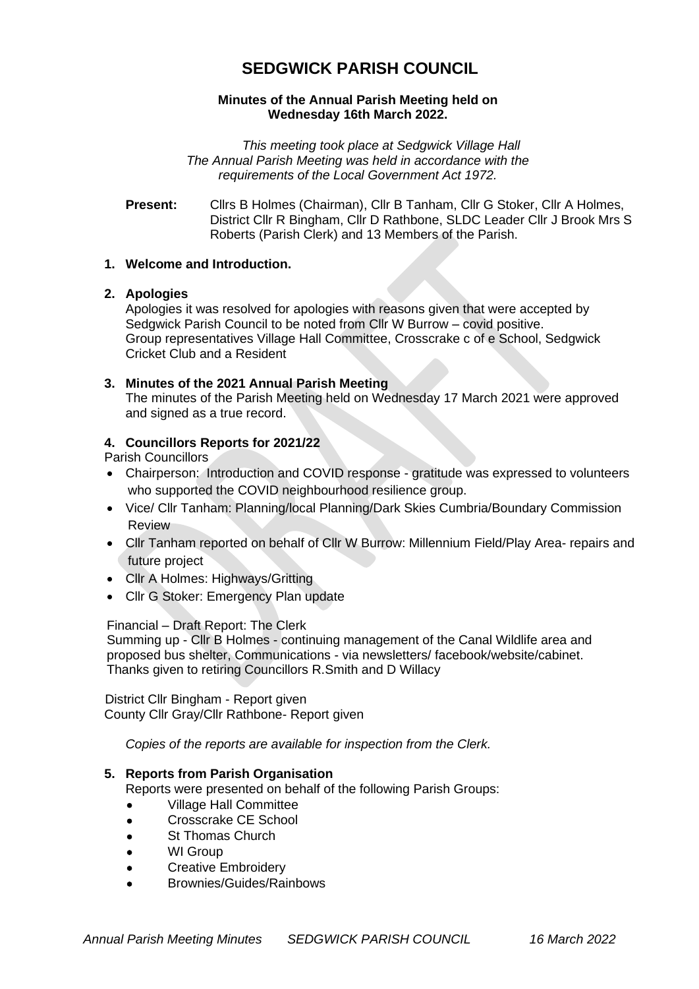# **SEDGWICK PARISH COUNCIL**

## **Minutes of the Annual Parish Meeting held on Wednesday 16th March 2022.**

*This meeting took place at Sedgwick Village Hall The Annual Parish Meeting was held in accordance with the requirements of the Local Government Act 1972.*

**Present:** Cllrs B Holmes (Chairman), Cllr B Tanham, Cllr G Stoker, Cllr A Holmes, District Cllr R Bingham, Cllr D Rathbone, SLDC Leader Cllr J Brook Mrs S Roberts (Parish Clerk) and 13 Members of the Parish.

## **1. Welcome and Introduction.**

## **2. Apologies**

Apologies it was resolved for apologies with reasons given that were accepted by Sedgwick Parish Council to be noted from Cllr W Burrow – covid positive. Group representatives Village Hall Committee, Crosscrake c of e School, Sedgwick Cricket Club and a Resident

## **3. Minutes of the 2021 Annual Parish Meeting**

The minutes of the Parish Meeting held on Wednesday 17 March 2021 were approved and signed as a true record.

## **4. Councillors Reports for 2021/22**

Parish Councillors

- Chairperson: Introduction and COVID response gratitude was expressed to volunteers who supported the COVID neighbourhood resilience group.
- Vice/ Cllr Tanham: Planning/local Planning/Dark Skies Cumbria/Boundary Commission Review
- Cllr Tanham reported on behalf of Cllr W Burrow: Millennium Field/Play Area- repairs and future project
- Cllr A Holmes: Highways/Gritting
- Cllr G Stoker: Emergency Plan update

# Financial – Draft Report: The Clerk

Summing up - Cllr B Holmes - continuing management of the Canal Wildlife area and proposed bus shelter, Communications - via newsletters/ facebook/website/cabinet. Thanks given to retiring Councillors R.Smith and D Willacy

 District Cllr Bingham - Report given County Cllr Gray/Cllr Rathbone- Report given

*Copies of the reports are available for inspection from the Clerk.*

# **5. Reports from Parish Organisation**

Reports were presented on behalf of the following Parish Groups:

- Village Hall Committee
- Crosscrake CE School
- St Thomas Church
- WI Group
- Creative Embroidery
- Brownies/Guides/Rainbows